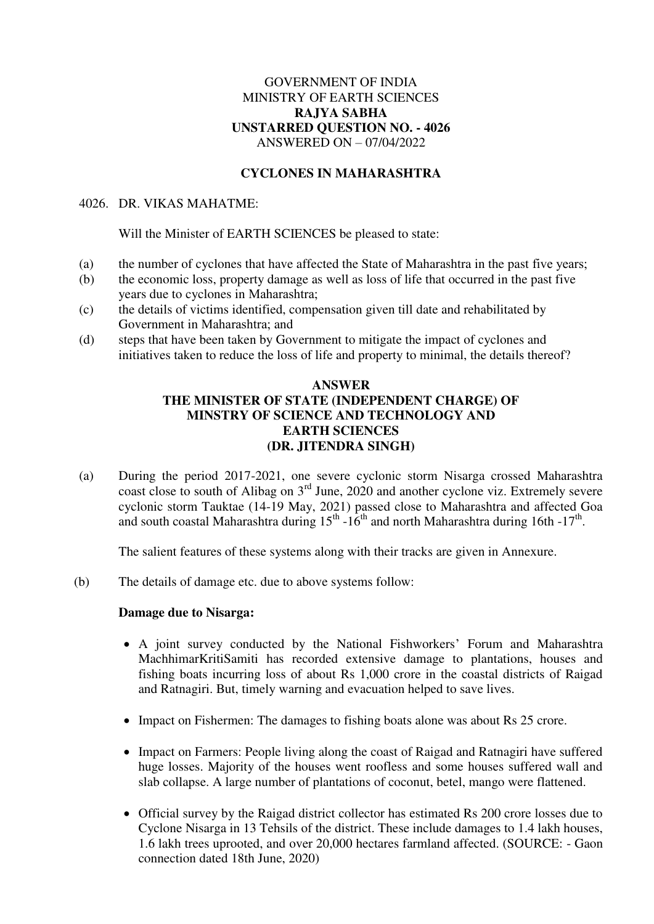# GOVERNMENT OF INDIA MINISTRY OF EARTH SCIENCES **RAJYA SABHA UNSTARRED QUESTION NO. - 4026**  ANSWERED ON – 07/04/2022

# **CYCLONES IN MAHARASHTRA**

# 4026. DR. VIKAS MAHATME:

Will the Minister of EARTH SCIENCES be pleased to state:

- (a) the number of cyclones that have affected the State of Maharashtra in the past five years;
- (b) the economic loss, property damage as well as loss of life that occurred in the past five years due to cyclones in Maharashtra;
- (c) the details of victims identified, compensation given till date and rehabilitated by Government in Maharashtra; and
- (d) steps that have been taken by Government to mitigate the impact of cyclones and initiatives taken to reduce the loss of life and property to minimal, the details thereof?

### **ANSWER THE MINISTER OF STATE (INDEPENDENT CHARGE) OF MINSTRY OF SCIENCE AND TECHNOLOGY AND EARTH SCIENCES (DR. JITENDRA SINGH)**

(a) During the period 2017-2021, one severe cyclonic storm Nisarga crossed Maharashtra coast close to south of Alibag on 3rd June, 2020 and another cyclone viz. Extremely severe cyclonic storm Tauktae (14-19 May, 2021) passed close to Maharashtra and affected Goa and south coastal Maharashtra during  $15<sup>th</sup> - 16<sup>th</sup>$  and north Maharashtra during 16th -17<sup>th</sup>.

The salient features of these systems along with their tracks are given in Annexure.

(b) The details of damage etc. due to above systems follow:

### **Damage due to Nisarga:**

- A joint survey conducted by the National Fishworkers' Forum and Maharashtra MachhimarKritiSamiti has recorded extensive damage to plantations, houses and fishing boats incurring loss of about Rs 1,000 crore in the coastal districts of Raigad and Ratnagiri. But, timely warning and evacuation helped to save lives.
- Impact on Fishermen: The damages to fishing boats alone was about Rs 25 crore.
- Impact on Farmers: People living along the coast of Raigad and Ratnagiri have suffered huge losses. Majority of the houses went roofless and some houses suffered wall and slab collapse. A large number of plantations of coconut, betel, mango were flattened.
- Official survey by the Raigad district collector has estimated Rs 200 crore losses due to Cyclone Nisarga in 13 Tehsils of the district. These include damages to 1.4 lakh houses, 1.6 lakh trees uprooted, and over 20,000 hectares farmland affected. (SOURCE: - Gaon connection dated 18th June, 2020)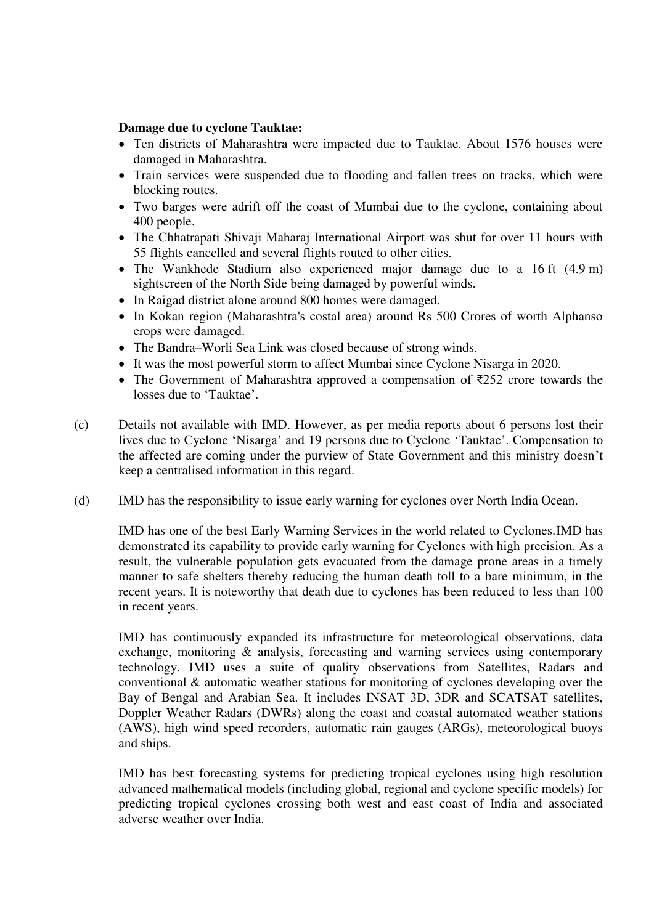### **Damage due to cyclone Tauktae:**

- Ten districts of Maharashtra were impacted due to Tauktae. About 1576 houses were damaged in Maharashtra.
- Train services were suspended due to flooding and fallen trees on tracks, which were blocking routes.
- Two barges were adrift off the coast of Mumbai due to the cyclone, containing about 400 people.
- The [Chhatrapati Shivaji Maharaj International Airport](https://en.wikipedia.org/wiki/Chhatrapati_Shivaji_Maharaj_International_Airport) was shut for over 11 hours with 55 flights cancelled and several flights routed to other cities.
- The [Wankhede Stadium](https://en.wikipedia.org/wiki/Wankhede_Stadium) also experienced major damage due to a 16 ft (4.9 m) sightscreen of the North Side being damaged by powerful winds.
- In Raigad district alone around 800 homes were damaged.
- In Kokan region (Maharashtra's costal area) around Rs 500 Crores of worth Alphanso crops were damaged.
- The Bandra–[Worli Sea Link](https://en.wikipedia.org/wiki/Bandra%E2%80%93Worli_Sea_Link) was closed because of strong winds.
- It was the most powerful storm to affect Mumbai since [Cyclone Nisarga](https://en.wikipedia.org/wiki/Cyclone_Nisarga) in 2020.
- The [Government of Maharashtra](https://en.wikipedia.org/wiki/Government_of_Maharashtra) approved a compensation of ₹252 crore towards the losses due to 'Tauktae'.
- (c) Details not available with IMD. However, as per media reports about 6 persons lost their lives due to Cyclone 'Nisarga' and 19 persons due to Cyclone 'Tauktae'. Compensation to the affected are coming under the purview of State Government and this ministry doesn't keep a centralised information in this regard.
- (d) IMD has the responsibility to issue early warning for cyclones over North India Ocean.

IMD has one of the best Early Warning Services in the world related to Cyclones.IMD has demonstrated its capability to provide early warning for Cyclones with high precision. As a result, the vulnerable population gets evacuated from the damage prone areas in a timely manner to safe shelters thereby reducing the human death toll to a bare minimum, in the recent years. It is noteworthy that death due to cyclones has been reduced to less than 100 in recent years.

IMD has continuously expanded its infrastructure for meteorological observations, data exchange, monitoring & analysis, forecasting and warning services using contemporary technology. IMD uses a suite of quality observations from Satellites, Radars and conventional & automatic weather stations for monitoring of cyclones developing over the Bay of Bengal and Arabian Sea. It includes INSAT 3D, 3DR and SCATSAT satellites, Doppler Weather Radars (DWRs) along the coast and coastal automated weather stations (AWS), high wind speed recorders, automatic rain gauges (ARGs), meteorological buoys and ships.

IMD has best forecasting systems for predicting tropical cyclones using high resolution advanced mathematical models (including global, regional and cyclone specific models) for predicting tropical cyclones crossing both west and east coast of India and associated adverse weather over India.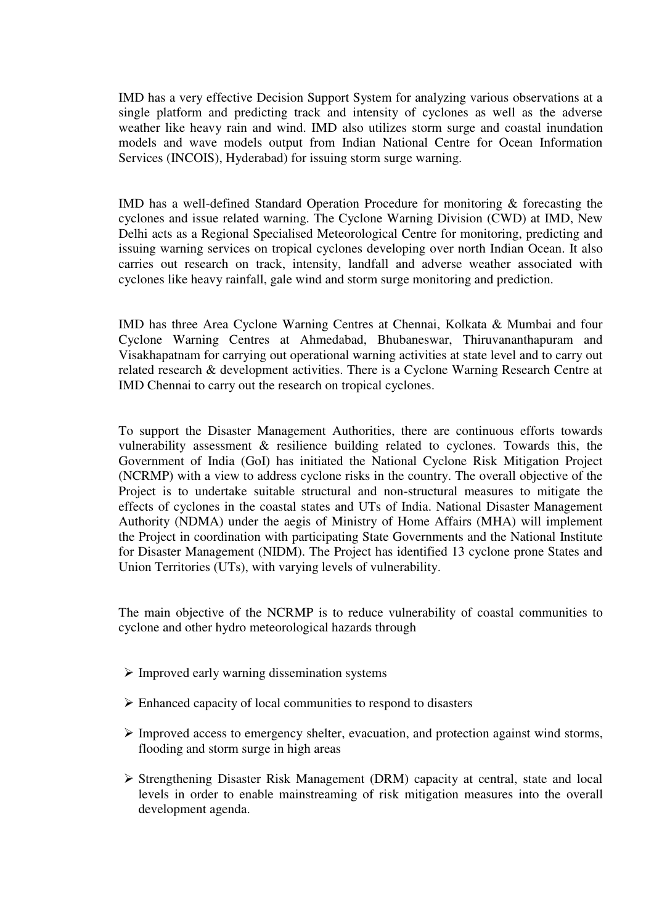IMD has a very effective Decision Support System for analyzing various observations at a single platform and predicting track and intensity of cyclones as well as the adverse weather like heavy rain and wind. IMD also utilizes storm surge and coastal inundation models and wave models output from Indian National Centre for Ocean Information Services (INCOIS), Hyderabad) for issuing storm surge warning.

IMD has a well-defined Standard Operation Procedure for monitoring & forecasting the cyclones and issue related warning. The Cyclone Warning Division (CWD) at IMD, New Delhi acts as a Regional Specialised Meteorological Centre for monitoring, predicting and issuing warning services on tropical cyclones developing over north Indian Ocean. It also carries out research on track, intensity, landfall and adverse weather associated with cyclones like heavy rainfall, gale wind and storm surge monitoring and prediction.

IMD has three Area Cyclone Warning Centres at Chennai, Kolkata & Mumbai and four Cyclone Warning Centres at Ahmedabad, Bhubaneswar, Thiruvananthapuram and Visakhapatnam for carrying out operational warning activities at state level and to carry out related research & development activities. There is a Cyclone Warning Research Centre at IMD Chennai to carry out the research on tropical cyclones.

To support the Disaster Management Authorities, there are continuous efforts towards vulnerability assessment & resilience building related to cyclones. Towards this, the Government of India (GoI) has initiated the National Cyclone Risk Mitigation Project (NCRMP) with a view to address cyclone risks in the country. The overall objective of the Project is to undertake suitable structural and non-structural measures to mitigate the effects of cyclones in the coastal states and UTs of India. National Disaster Management Authority (NDMA) under the aegis of Ministry of Home Affairs (MHA) will implement the Project in coordination with participating State Governments and the National Institute for Disaster Management (NIDM). The Project has identified 13 cyclone prone States and Union Territories (UTs), with varying levels of vulnerability.

The main objective of the NCRMP is to reduce vulnerability of coastal communities to cyclone and other hydro meteorological hazards through

- $\triangleright$  Improved early warning dissemination systems
- $\triangleright$  Enhanced capacity of local communities to respond to disasters
- $\triangleright$  Improved access to emergency shelter, evacuation, and protection against wind storms, flooding and storm surge in high areas
- $\triangleright$  Strengthening Disaster Risk Management (DRM) capacity at central, state and local levels in order to enable mainstreaming of risk mitigation measures into the overall development agenda.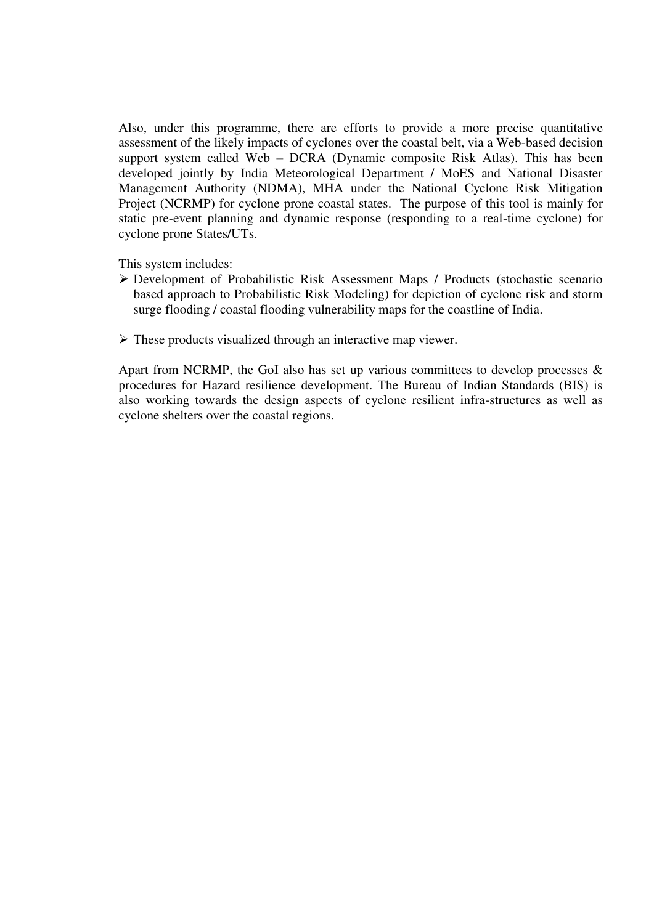Also, under this programme, there are efforts to provide a more precise quantitative assessment of the likely impacts of cyclones over the coastal belt, via a Web-based decision support system called Web – DCRA (Dynamic composite Risk Atlas). This has been developed jointly by India Meteorological Department / MoES and National Disaster Management Authority (NDMA), MHA under the National Cyclone Risk Mitigation Project (NCRMP) for cyclone prone coastal states. The purpose of this tool is mainly for static pre-event planning and dynamic response (responding to a real-time cyclone) for cyclone prone States/UTs.

This system includes:

- Development of Probabilistic Risk Assessment Maps / Products (stochastic scenario based approach to Probabilistic Risk Modeling) for depiction of cyclone risk and storm surge flooding / coastal flooding vulnerability maps for the coastline of India.
- $\triangleright$  These products visualized through an interactive map viewer.

Apart from NCRMP, the GoI also has set up various committees to develop processes  $\&$ procedures for Hazard resilience development. The Bureau of Indian Standards (BIS) is also working towards the design aspects of cyclone resilient infra-structures as well as cyclone shelters over the coastal regions.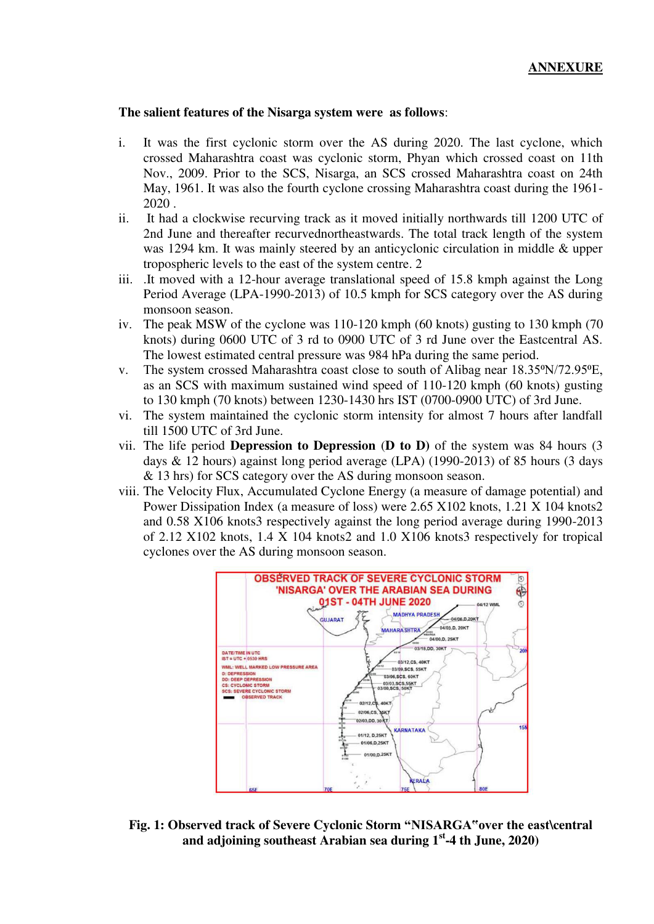#### **The salient features of the Nisarga system were as follows**:

- i. It was the first cyclonic storm over the AS during 2020. The last cyclone, which crossed Maharashtra coast was cyclonic storm, Phyan which crossed coast on 11th Nov., 2009. Prior to the SCS, Nisarga, an SCS crossed Maharashtra coast on 24th May, 1961. It was also the fourth cyclone crossing Maharashtra coast during the 1961- 2020 .
- ii. It had a clockwise recurving track as it moved initially northwards till 1200 UTC of 2nd June and thereafter recurvednortheastwards. The total track length of the system was 1294 km. It was mainly steered by an anticyclonic circulation in middle & upper tropospheric levels to the east of the system centre. 2
- iii. .It moved with a 12-hour average translational speed of 15.8 kmph against the Long Period Average (LPA-1990-2013) of 10.5 kmph for SCS category over the AS during monsoon season.
- iv. The peak MSW of the cyclone was 110-120 kmph (60 knots) gusting to 130 kmph (70 knots) during 0600 UTC of 3 rd to 0900 UTC of 3 rd June over the Eastcentral AS. The lowest estimated central pressure was 984 hPa during the same period.
- v. The system crossed Maharashtra coast close to south of Alibag near 18.35°N/72.95°E, as an SCS with maximum sustained wind speed of 110-120 kmph (60 knots) gusting to 130 kmph (70 knots) between 1230-1430 hrs IST (0700-0900 UTC) of 3rd June.
- vi. The system maintained the cyclonic storm intensity for almost 7 hours after landfall till 1500 UTC of 3rd June.
- vii. The life period **Depression to Depression** (**D to D)** of the system was 84 hours (3 days & 12 hours) against long period average (LPA) (1990-2013) of 85 hours (3 days & 13 hrs) for SCS category over the AS during monsoon season.
- viii. The Velocity Flux, Accumulated Cyclone Energy (a measure of damage potential) and Power Dissipation Index (a measure of loss) were 2.65 X102 knots, 1.21 X 104 knots2 and 0.58 X106 knots3 respectively against the long period average during 1990-2013 of 2.12 X102 knots, 1.4 X 104 knots2 and 1.0 X106 knots3 respectively for tropical cyclones over the AS during monsoon season.



**Fig. 1: Observed track of Severe Cyclonic Storm "NISARGA"over the east\central and adjoining southeast Arabian sea during 1st-4 th June, 2020)**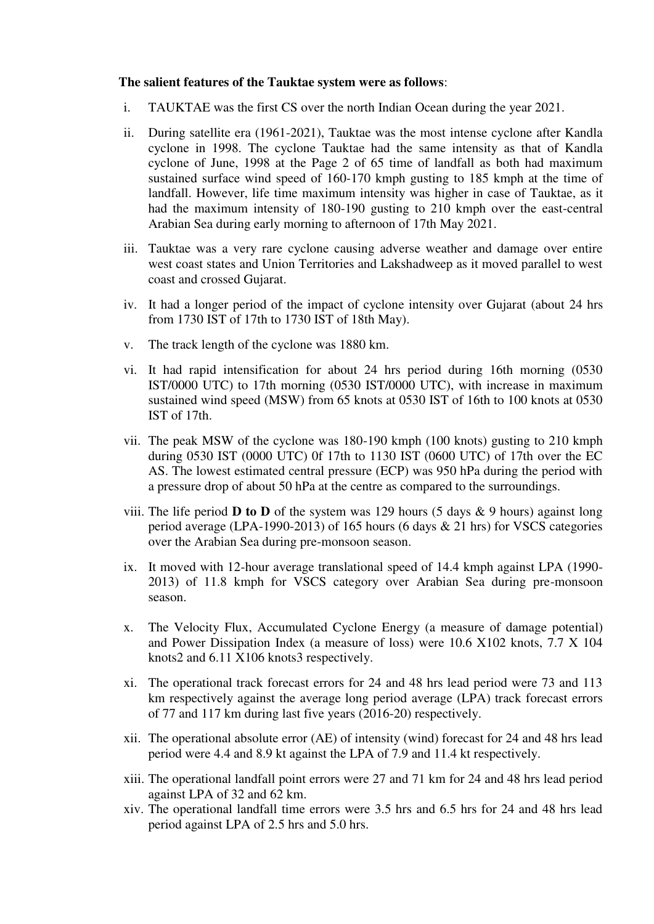#### **The salient features of the Tauktae system were as follows**:

- i. TAUKTAE was the first CS over the north Indian Ocean during the year 2021.
- ii. During satellite era (1961-2021), Tauktae was the most intense cyclone after Kandla cyclone in 1998. The cyclone Tauktae had the same intensity as that of Kandla cyclone of June, 1998 at the Page 2 of 65 time of landfall as both had maximum sustained surface wind speed of 160-170 kmph gusting to 185 kmph at the time of landfall. However, life time maximum intensity was higher in case of Tauktae, as it had the maximum intensity of 180-190 gusting to 210 kmph over the east-central Arabian Sea during early morning to afternoon of 17th May 2021.
- iii. Tauktae was a very rare cyclone causing adverse weather and damage over entire west coast states and Union Territories and Lakshadweep as it moved parallel to west coast and crossed Gujarat.
- iv. It had a longer period of the impact of cyclone intensity over Gujarat (about 24 hrs from 1730 IST of 17th to 1730 IST of 18th May).
- v. The track length of the cyclone was 1880 km.
- vi. It had rapid intensification for about 24 hrs period during 16th morning (0530 IST/0000 UTC) to 17th morning (0530 IST/0000 UTC), with increase in maximum sustained wind speed (MSW) from 65 knots at 0530 IST of 16th to 100 knots at 0530 IST of 17th.
- vii. The peak MSW of the cyclone was 180-190 kmph (100 knots) gusting to 210 kmph during 0530 IST (0000 UTC) 0f 17th to 1130 IST (0600 UTC) of 17th over the EC AS. The lowest estimated central pressure (ECP) was 950 hPa during the period with a pressure drop of about 50 hPa at the centre as compared to the surroundings.
- viii. The life period **D to D** of the system was 129 hours (5 days & 9 hours) against long period average (LPA-1990-2013) of 165 hours (6 days & 21 hrs) for VSCS categories over the Arabian Sea during pre-monsoon season.
- ix. It moved with 12-hour average translational speed of 14.4 kmph against LPA (1990- 2013) of 11.8 kmph for VSCS category over Arabian Sea during pre-monsoon season.
- x. The Velocity Flux, Accumulated Cyclone Energy (a measure of damage potential) and Power Dissipation Index (a measure of loss) were 10.6 X102 knots, 7.7 X 104 knots2 and 6.11 X106 knots3 respectively.
- xi. The operational track forecast errors for 24 and 48 hrs lead period were 73 and 113 km respectively against the average long period average (LPA) track forecast errors of 77 and 117 km during last five years (2016-20) respectively.
- xii. The operational absolute error (AE) of intensity (wind) forecast for 24 and 48 hrs lead period were 4.4 and 8.9 kt against the LPA of 7.9 and 11.4 kt respectively.
- xiii. The operational landfall point errors were 27 and 71 km for 24 and 48 hrs lead period against LPA of 32 and 62 km.
- xiv. The operational landfall time errors were 3.5 hrs and 6.5 hrs for 24 and 48 hrs lead period against LPA of 2.5 hrs and 5.0 hrs.